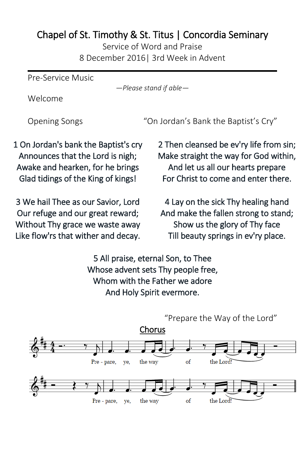## Chapel of St. Timothy & St. Titus | Concordia Seminary

Service of Word and Praise 8 December 2016| 3rd Week in Advent

Pre-Service Music

*—Please stand if able—*

Welcome

Opening Songs "On Jordan's Bank the Baptist's Cry"

1 On Jordan's bank the Baptist's cry Announces that the Lord is nigh; Awake and hearken, for he brings Glad tidings of the King of kings!

3 We hail Thee as our Savior, Lord Our refuge and our great reward; Without Thy grace we waste away Like flow'rs that wither and decay. 2 Then cleansed be ev'ry life from sin; Make straight the way for God within, And let us all our hearts prepare For Christ to come and enter there.

4 Lay on the sick Thy healing hand And make the fallen strong to stand; Show us the glory of Thy face Till beauty springs in ev'ry place.

5 All praise, eternal Son, to Thee Whose advent sets Thy people free, Whom with the Father we adore And Holy Spirit evermore.

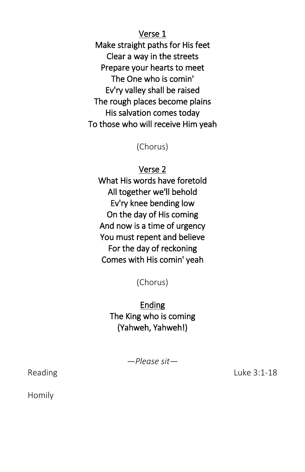Verse 1 Make straight paths for His feet Clear a way in the streets Prepare your hearts to meet The One who is comin' Ev'ry valley shall be raised The rough places become plains His salvation comes today To those who will receive Him yeah

(Chorus)

Verse 2 What His words have foretold All together we'll behold Ev'ry knee bending low On the day of His coming And now is a time of urgency You must repent and believe For the day of reckoning Comes with His comin' yeah

(Chorus)

Ending The King who is coming (Yahweh, Yahweh!)

*—Please sit—*

Reading Luke 3:1-18

Homily